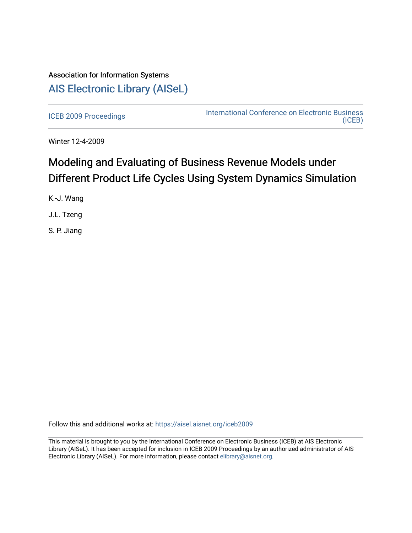# Association for Information Systems [AIS Electronic Library \(AISeL\)](https://aisel.aisnet.org/)

[ICEB 2009 Proceedings](https://aisel.aisnet.org/iceb2009) **International Conference on Electronic Business** [\(ICEB\)](https://aisel.aisnet.org/iceb) 

Winter 12-4-2009

# Modeling and Evaluating of Business Revenue Models under Different Product Life Cycles Using System Dynamics Simulation

K.-J. Wang

J.L. Tzeng

S. P. Jiang

Follow this and additional works at: [https://aisel.aisnet.org/iceb2009](https://aisel.aisnet.org/iceb2009?utm_source=aisel.aisnet.org%2Ficeb2009%2F74&utm_medium=PDF&utm_campaign=PDFCoverPages)

This material is brought to you by the International Conference on Electronic Business (ICEB) at AIS Electronic Library (AISeL). It has been accepted for inclusion in ICEB 2009 Proceedings by an authorized administrator of AIS Electronic Library (AISeL). For more information, please contact [elibrary@aisnet.org.](mailto:elibrary@aisnet.org%3E)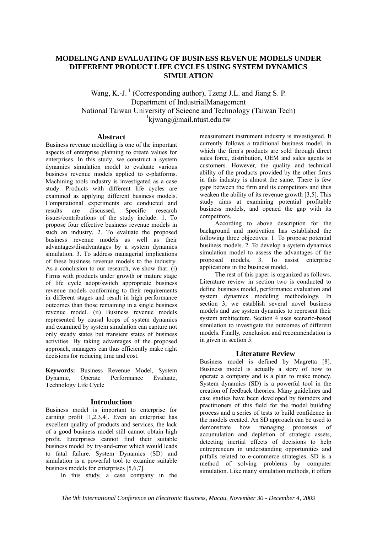# **MODELING AND EVALUATING OF BUSINESS REVENUE MODELS UNDER DIFFERENT PRODUCT LIFE CYCLES USING SYSTEM DYNAMICS SIMULATION**

Wang, K.-J.<sup>1</sup> (Corresponding author), Tzeng J.L. and Jiang S. P. Department of IndustrialManagement National Taiwan University of Sciecne and Technology (Taiwan Tech) 1 kjwang@mail.ntust.edu.tw

### **Abstract**

Business revenue modelling is one of the important aspects of enterprise planning to create values for enterprises. In this study, we construct a system dynamics simulation model to evaluate various business revenue models applied to e-platforms. Machining tools industry is investigated as a case study. Products with different life cycles are examined as applying different business models. Computational experiments are conducted and results are discussed. Specific research issues/contributions of the study include: 1. To propose four effective business revenue models in such an industry. 2. To evaluate the proposed business revenue models as well as their advantages/disadvantages by a system dynamics simulation. 3. To address managerial implications of these business revenue models to the industry. As a conclusion to our research, we show that: (i) Firms with products under growth or mature stage of life cycle adopt/switch appropriate business revenue models conforming to their requirements in different stages and result in high performance outcomes than those remaining in a single business revenue model. (ii) Business revenue models represented by causal loops of system dynamics and examined by system simulation can capture not only steady states but transient states of business activities. By taking advantages of the proposed approach, managers can thus efficiently make right decisions for reducing time and cost.

**Keywords:** Business Revenue Model, System Dynamic, Operate Performance Evaluate, Technology Life Cycle

# **Introduction**

Business model is important to enterprise for earning profit [1,2,3,4]. Even an enterprise has excellent quality of products and services, the lack of a good business model still cannot obtain high profit. Enterprises cannot find their suitable business model by try-and-error which would leads to fatal failure. System Dynamics (SD) and simulation is a powerful tool to examine suitable business models for enterprises [5,6,7].

In this study, a case company in the

measurement instrument industry is investigated. It currently follows a traditional business model, in which the firm's products are sold through direct sales force, distribution, OEM and sales agents to customers. However, the quality and technical ability of the products provided by the other firms in this industry is almost the same. There is few gaps between the firm and its competitors and thus weaken the ability of its revenue growth [3,5]. This study aims at examining potential profitable business models, and opened the gap with its competitors.

According to above description for the background and motivation has established the following three objectives: 1. To propose potential business models. 2. To develop a system dynamics simulation model to assess the advantages of the proposed models. 3. To assist enterprise applications in the business model.

The rest of this paper is organized as follows. Literature review in section two is conducted to define business model, performance evaluation and system dynamics modeling methodology. In section 3, we establish several novel business models and use system dynamics to represent their system architecture. Section 4 uses scenario-based simulation to investigate the outcomes of different models. Finally, conclusion and recommendation is in given in section 5.

# **Literature Review**

Business model is defined by Magretta [8]. Business model is actually a story of how to operate a company and is a plan to make money. System dynamics (SD) is a powerful tool in the creation of feedback theories. Many guidelines and case studies have been developed by founders and practitioners of this field for the model building process and a series of tests to build confidence in the models created. An SD approach can be used to demonstrate how managing processes of accumulation and depletion of strategic assets, detecting inertial effects of decisions to help entrepreneurs in understanding opportunities and pitfalls related to e-commerce strategies. SD is a method of solving problems by computer simulation. Like many simulation methods, it offers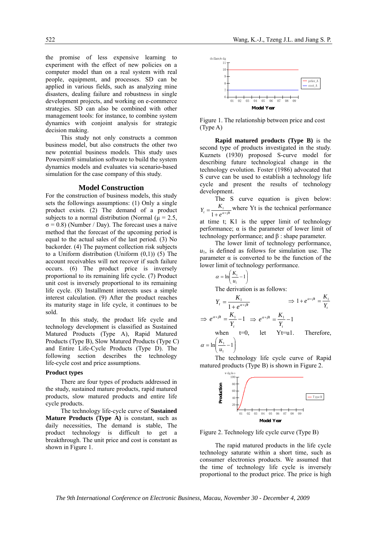the promise of less expensive learning to experiment with the effect of new policies on a computer model than on a real system with real people, equipment, and processes. SD can be applied in various fields, such as analyzing mine disasters, dealing failure and robustness in single development projects, and working on e-commerce strategies. SD can also be combined with other management tools: for instance, to combine system dynamics with conjoint analysis for strategic decision making.

This study not only constructs a common business model, but also constructs the other two new potential business models. This study uses Powersim® simulation software to build the system dynamics models and evaluates via scenario-based simulation for the case company of this study.

#### **Model Construction**

For the construction of business models, this study sets the followings assumptions: (1) Only a single product exists. (2) The demand of a product subjects to a normal distribution (Normal ( $\mu$  = 2.5,  $\sigma$  = 0.8) (Number / Day). The forecast uses a naive method that the forecast of the upcoming period is equal to the actual sales of the last period. (3) No backorder. (4) The payment collection risk subjects to a Uniform distribution (Uniform (0,1)) (5) The account receivables will not recover if such failure occurs. (6) The product price is inversely proportional to its remaining life cycle. (7) Product unit cost is inversely proportional to its remaining life cycle. (8) Installment interests uses a simple interest calculation. (9) After the product reaches its maturity stage in life cycle, it continues to be sold.

In this study, the product life cycle and technology development is classified as Sustained Matured Products (Type A), Rapid Matured Products (Type B), Slow Matured Products (Type C) and Entire Life-Cycle Products (Type D). The following section describes the technology life-cycle cost and price assumptions.

#### **Product types**

There are four types of products addressed in the study, sustained mature products, rapid matured products, slow matured products and entire life cycle products.

The technology life-cycle curve of **Sustained Mature Products (Type A)** is constant, such as daily necessities, The demand is stable, The product technology is difficult to get a breakthrough. The unit price and cost is constant as shown in Figure 1.



Figure 1. The relationship between price and cost (Type A)

**Rapid matured products (Type B)** is the second type of products investigated in the study. Kuznets (1930) proposed S-curve model for describing future technological change in the technology evolution. Foster (1986) advocated that S curve can be used to establish a technology life cycle and present the results of technology development.

The S curve equation is given below:  $t^{t}$   $\frac{1}{1+e^{a+\beta t}}$  $Y_t = \frac{K_1}{1 + e^{\alpha + \beta}}$  $\frac{1}{1}$  where Yt is the technical performance at time t; K1 is the upper limit of technology performance;  $\alpha$  is the parameter of lower limit of technology performance; and β : shape parameter.

The lower limit of technology performance,  $u_1$ , is defined as follows for simulation use. The parameter  $\alpha$  is converted to be the function of the lower limit of technology performance.

$$
\alpha = \ln\left(\frac{K_1}{u_1} - 1\right)
$$

The derivation is as follows:

$$
Y_t = \frac{K_1}{1 + e^{\alpha + \beta t}} \implies 1 + e^{\alpha + \beta t} = \frac{K_1}{Y_t}
$$
  
\n
$$
\implies e^{\alpha + \beta t} = \frac{K_1}{Y_t} - 1 \implies e^{\alpha + \beta t} = \frac{K_1}{Y_t} - 1
$$
  
\nwhen  $t = 0$ , let  $Yt = u1$ . Therefore,  
\n
$$
(K_{1,1})
$$

 $\overline{\phantom{a}}$ ⎠  $\parallel$ ⎝  $= \ln \left( \frac{K_1}{K_1} - 1 \right)$ 1  $\frac{\mu_1}{\mu_1}$  $\alpha = \ln\left(\frac{K}{\alpha}\right)$ 

The technology life cycle curve of Rapid matured products (Type B) is shown in Figure 2.



Figure 2. Technology life cycle curve (Type B)

The rapid matured products in the life cycle technology saturate within a short time, such as consumer electronics products. We assumed that the time of technology life cycle is inversely proportional to the product price. The price is high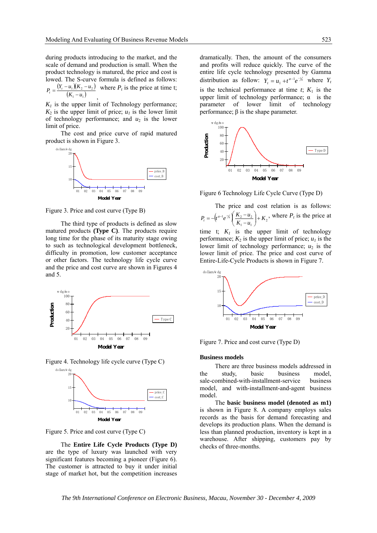during products introducing to the market, and the scale of demand and production is small. When the product technology is matured, the price and cost is lowed. The S-curve formula is defined as follows:

 $(Y_{t}-u_{1})(K_{2}-u_{2})$  $P_t = \frac{(Y_t - u_1)(K_2 - u_2)}{(K_1 - u_1)}$ , where  $P_t$  is the price at time t;

 $K_l$  is the upper limit of Technology performance;  $K_2$  is the upper limit of price;  $u_1$  is the lower limit of technology performance; and  $u_2$  is the lower limit of price.

The cost and price curve of rapid matured product is shown in Figure 3.



Figure 3. Price and cost curve (Type B)

The third type of products is defined as slow matured products **(Type C)**. The products require long time for the phase of its maturity stage owing to such as technological development bottleneck, difficulty in promotion, low customer acceptance or other factors. The technology life cycle curve and the price and cost curve are shown in Figures 4 and 5.



Figure 4. Technology life cycle curve (Type C)



Figure 5. Price and cost curve (Type C)

The **Entire Life Cycle Products (Type D)** are the type of luxury was launched with very significant features becoming a pioneer (Figure 6). The customer is attracted to buy it under initial stage of market hot, but the competition increases

dramatically. Then, the amount of the consumers and profits will reduce quickly. The curve of the entire life cycle technology presented by Gamma distribution as follow:  $Y_t = u_1 + t^{a-1}e^{-t}$  where  $Y_t$ is the technical performance at time  $t$ ;  $K_1$  is the upper limit of technology performance;  $\alpha$  is the parameter of lower limit of technology performance; β is the shape parameter.



Figure 6 Technology Life Cycle Curve (Type D)

The price and cost relation is as follows:  
\n
$$
P_t = -\left(t^{a-1}e^{\frac{-x}{h}}\right)\left(\frac{K_2 - u_2}{K_1 - u_1}\right) + K_2
$$
, where  $P_t$  is the price at

time t;  $K_l$  is the upper limit of technology performance;  $K_2$  is the upper limit of price;  $u_1$  is the lower limit of technology performance;  $u_2$  is the lower limit of price. The price and cost curve of Entire-Life-Cycle Products is shown in Figure 7.



Figure 7. Price and cost curve (Type D)

#### **Business models**

There are three business models addressed in the study, basic business model, sale-combined-with-installment-service business model, and with-installment-and-agent business model.

The **basic business model (denoted as m1)**  is shown in Figure 8. A company employs sales records as the basis for demand forecasting and develops its production plans. When the demand is less than planned production, inventory is kept in a warehouse. After shipping, customers pay by checks of three-months.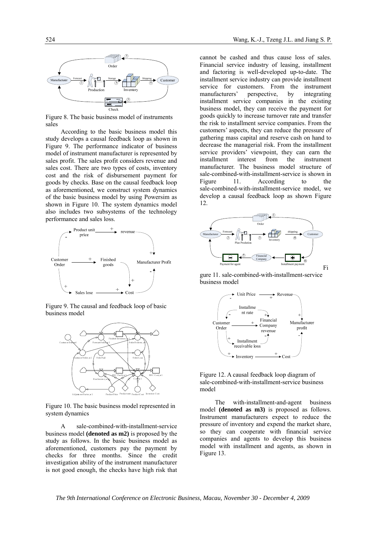

Figure 8. The basic business model of instruments sales

According to the basic business model this study develops a causal feedback loop as shown in Figure 9. The performance indicator of business model of instrument manufacturer is represented by sales profit. The sales profit considers revenue and sales cost. There are two types of costs, inventory cost and the risk of disbursement payment for goods by checks. Base on the causal feedback loop as aforementioned, we construct system dynamics of the basic business model by using Powersim as shown in Figure 10. The system dynamics model also includes two subsystems of the technology performance and sales loss.



Figure 9. The causal and feedback loop of basic business model



Figure 10. The basic business model represented in system dynamics

A sale-combined-with-installment-service business model **(denoted as m2)** is proposed by the study as follows. In the basic business model as aforementioned, customers pay the payment by checks for three months. Since the credit investigation ability of the instrument manufacturer is not good enough, the checks have high risk that

cannot be cashed and thus cause loss of sales. Financial service industry of leasing, installment and factoring is well-developed up-to-date. The installment service industry can provide installment service for customers. From the instrument manufacturers' perspective, by integrating installment service companies in the existing business model, they can receive the payment for goods quickly to increase turnover rate and transfer the risk to installment service companies. From the customers' aspects, they can reduce the pressure of gathering mass capital and reserve cash on hand to decrease the managerial risk. From the installment service providers' viewpoint, they can earn the installment interest from the instrument manufacturer. The business model structure of sale-combined-with-installment-service is shown in Figure 11. According to the sale-combined-with-installment-service model, we develop a causal feedback loop as shown Figure 12.



gure 11. sale-combined-with-installment-service business model



Figure 12. A causal feedback loop diagram of sale-combined-with-installment-service business model

The with-installment-and-agent business model **(denoted as m3)** is proposed as follows. Instrument manufacturers expect to reduce the pressure of inventory and expend the market share, so they can cooperate with financial service companies and agents to develop this business model with installment and agents, as shown in Figure 13.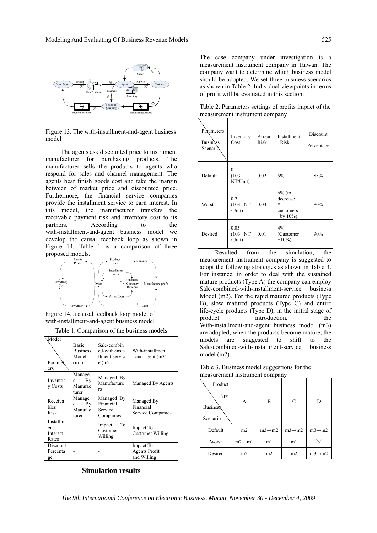

Figure 13. The with-installment-and-agent business model

The agents ask discounted price to instrument manufacturer for purchasing products. The manufacturer sells the products to agents who respond for sales and channel management. The agents bear finish goods cost and take the margin between of market price and discounted price. Furthermore, the financial service companies provide the installment service to earn interest. In this model, the manufacturer transfers the receivable payment risk and inventory cost to its partners. According to the with-installment-and-agent business model we develop the causal feedback loop as shown in Figure 14. Table 1 is a comparison of three proposed models.



Figure 14. a causal feedback loop model of with-installment-and-agent business model

| <b>Model</b><br>Paramet<br>ers       | <b>Basic</b><br><b>Business</b><br>Model<br>(m1) | Sale-combin<br>ed-with-insta<br>llment-servic<br>$e$ (m2) | With-installmen<br>t-and-agent $(m3)$        |
|--------------------------------------|--------------------------------------------------|-----------------------------------------------------------|----------------------------------------------|
| Inventor<br>y Costs                  | Manage<br>By<br>d<br>Manufac<br>turer            | Managed By<br>Manufacture<br>rs                           | Managed By Agents                            |
| Receiva<br>bles<br>Risk              | Manage<br>By<br>d<br>Manufac<br>turer            | Managed By<br>Financial<br>Service<br>Companies           | Managed By<br>Financial<br>Service Companies |
| Installm<br>ent<br>Interest<br>Rates |                                                  | To<br>Impact<br>Customer<br>Willing                       | Impact To<br>Customer Willing                |
| Discount<br>Percenta<br>ge           |                                                  |                                                           | Impact To<br>Agents Profit<br>and Willing    |

# **Simulation results**

The case company under investigation is a measurement instrument company in Taiwan. The company want to determine which business model should be adopted. We set three business scenarios as shown in Table 2. Individual viewpoints in terms of profit will be evaluated in this section.

Table 2. Parameters settings of profits impact of the measurement instrument company

| Paxameters<br><b>Business</b><br>Scenario. | Inventory<br>Cost          | Arrear<br>Risk | Installment<br>Risk                                    | Discount<br>Percentage |
|--------------------------------------------|----------------------------|----------------|--------------------------------------------------------|------------------------|
| Default                                    | 0.1<br>(103)<br>NT/Unit)   | 0.02           | 5%                                                     | 85%                    |
| Worst                                      | 0.2<br>(103 NT)<br>/Unit)  | 0.03           | $6\%$ (to<br>decrease<br>#<br>customers<br>by $10\%$ ) | 80%                    |
| Desired                                    | 0.05<br>(103 NT)<br>/Unit) | 0.01           | 4%<br>(Customer<br>$+10\%$                             | 90%                    |

Resulted from the simulation, the measurement instrument company is suggested to adopt the following strategies as shown in Table 3. For instance, in order to deal with the sustained mature products (Type A) the company can employ Sale-combined-with-installment-service business Model (m2). For the rapid matured products (Type B), slow matured products (Type C) and entire life-cycle products (Type D), in the initial stage of product introduction, the With-installment-and-agent business model (m3) are adopted, when the products become mature, the models are suggested to shift to the Sale-combined-with-installment-service business model (m2).

Table 3. Business model suggestions for the measurement instrument company

| Product<br>Type<br><b>Business</b><br>Scenario | A                   | B                   | C                   | D                   |
|------------------------------------------------|---------------------|---------------------|---------------------|---------------------|
| Default                                        | m2                  | $m3 \rightarrow m2$ | $m3 \rightarrow m2$ | $m3 \rightarrow m2$ |
| Worst                                          | $m2 \rightarrow m1$ | m1                  | m1                  |                     |
| Desired                                        | m2                  | m <sub>2</sub>      | m2                  | $m3 \rightarrow m2$ |